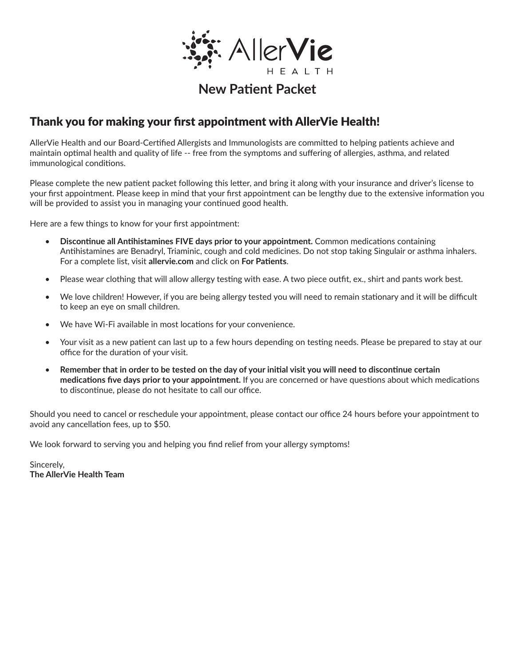

## Thank you for making your first appointment with AllerVie Health!

AllerVie Health and our Board-Certified Allergists and Immunologists are committed to helping patients achieve and maintain optimal health and quality of life -- free from the symptoms and suffering of allergies, asthma, and related immunological conditions.

Please complete the new patient packet following this letter, and bring it along with your insurance and driver's license to your first appointment. Please keep in mind that your first appointment can be lengthy due to the extensive information you will be provided to assist you in managing your continued good health.

Here are a few things to know for your first appointment:

- **Discontinue all Antihistamines FIVE days prior to your appointment.** Common medications containing Antihistamines are Benadryl, Triaminic, cough and cold medicines. Do not stop taking Singulair or asthma inhalers. For a complete list, visit **allervie.com** and click on **For Patients**.
- Please wear clothing that will allow allergy testing with ease. A two piece outfit, ex., shirt and pants work best.
- We love children! However, if you are being allergy tested you will need to remain stationary and it will be difficult to keep an eye on small children.
- We have Wi-Fi available in most locations for your convenience.
- Your visit as a new patient can last up to a few hours depending on testing needs. Please be prepared to stay at our office for the duration of your visit.
- **Remember that in order to be tested on the day of your initial visit you will need to discontinue certain medications five days prior to your appointment.** If you are concerned or have questions about which medications to discontinue, please do not hesitate to call our office.

Should you need to cancel or reschedule your appointment, please contact our office 24 hours before your appointment to avoid any cancellation fees, up to \$50.

We look forward to serving you and helping you find relief from your allergy symptoms!

Sincerely, **The AllerVie Health Team**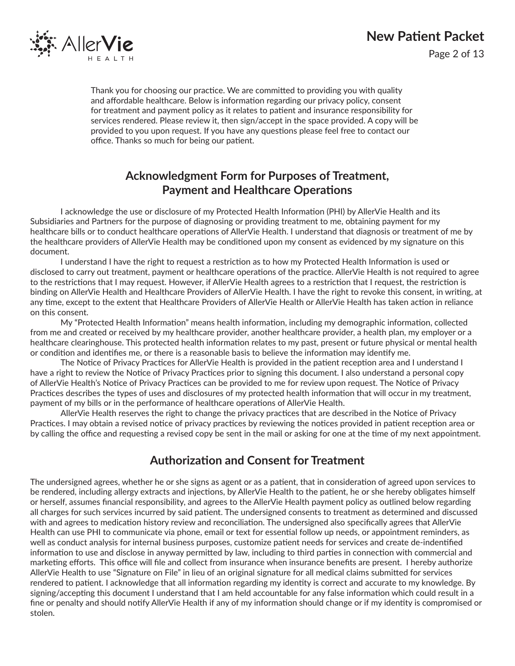

Page 2 of 13

Thank you for choosing our practice. We are committed to providing you with quality and affordable healthcare. Below is information regarding our privacy policy, consent for treatment and payment policy as it relates to patient and insurance responsibility for services rendered. Please review it, then sign/accept in the space provided. A copy will be provided to you upon request. If you have any questions please feel free to contact our office. Thanks so much for being our patient.

## **Acknowledgment Form for Purposes of Treatment, Payment and Healthcare Operations**

I acknowledge the use or disclosure of my Protected Health Information (PHI) by AllerVie Health and its Subsidiaries and Partners for the purpose of diagnosing or providing treatment to me, obtaining payment for my healthcare bills or to conduct healthcare operations of AllerVie Health. I understand that diagnosis or treatment of me by the healthcare providers of AllerVie Health may be conditioned upon my consent as evidenced by my signature on this document.

I understand I have the right to request a restriction as to how my Protected Health Information is used or disclosed to carry out treatment, payment or healthcare operations of the practice. AllerVie Health is not required to agree to the restrictions that I may request. However, if AllerVie Health agrees to a restriction that I request, the restriction is binding on AllerVie Health and Healthcare Providers of AllerVie Health. I have the right to revoke this consent, in writing, at any time, except to the extent that Healthcare Providers of AllerVie Health or AllerVie Health has taken action in reliance on this consent.

My "Protected Health Information" means health information, including my demographic information, collected from me and created or received by my healthcare provider, another healthcare provider, a health plan, my employer or a healthcare clearinghouse. This protected health information relates to my past, present or future physical or mental health or condition and identifies me, or there is a reasonable basis to believe the information may identify me.

The Notice of Privacy Practices for AllerVie Health is provided in the patient reception area and I understand I have a right to review the Notice of Privacy Practices prior to signing this document. I also understand a personal copy of AllerVie Health's Notice of Privacy Practices can be provided to me for review upon request. The Notice of Privacy Practices describes the types of uses and disclosures of my protected health information that will occur in my treatment, payment of my bills or in the performance of healthcare operations of AllerVie Health.

AllerVie Health reserves the right to change the privacy practices that are described in the Notice of Privacy Practices. I may obtain a revised notice of privacy practices by reviewing the notices provided in patient reception area or by calling the office and requesting a revised copy be sent in the mail or asking for one at the time of my next appointment.

### **Authorization and Consent for Treatment**

The undersigned agrees, whether he or she signs as agent or as a patient, that in consideration of agreed upon services to be rendered, including allergy extracts and injections, by AllerVie Health to the patient, he or she hereby obligates himself or herself, assumes financial responsibility, and agrees to the AllerVie Health payment policy as outlined below regarding all charges for such services incurred by said patient. The undersigned consents to treatment as determined and discussed with and agrees to medication history review and reconciliation. The undersigned also specifically agrees that AllerVie Health can use PHI to communicate via phone, email or text for essential follow up needs, or appointment reminders, as well as conduct analysis for internal business purposes, customize patient needs for services and create de-indentified information to use and disclose in anyway permitted by law, including to third parties in connection with commercial and marketing efforts. This office will file and collect from insurance when insurance benefits are present. I hereby authorize AllerVie Health to use "Signature on File" in lieu of an original signature for all medical claims submitted for services rendered to patient. I acknowledge that all information regarding my identity is correct and accurate to my knowledge. By signing/accepting this document I understand that I am held accountable for any false information which could result in a fine or penalty and should notify AllerVie Health if any of my information should change or if my identity is compromised or stolen.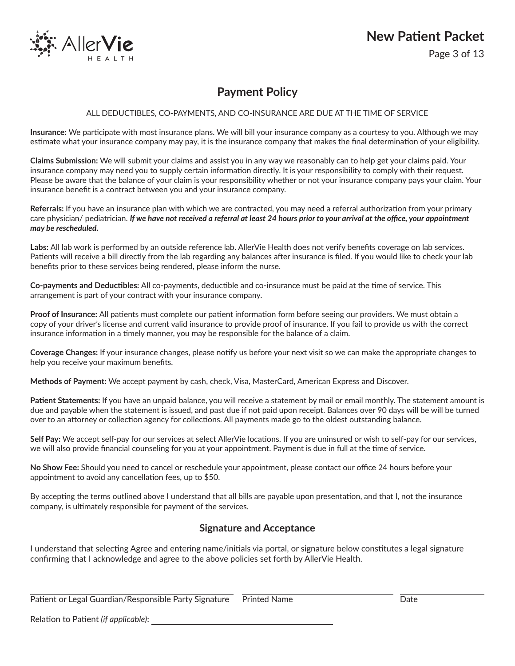

Page 3 of 13

## **Payment Policy**

#### ALL DEDUCTIBLES, CO-PAYMENTS, AND CO-INSURANCE ARE DUE AT THE TIME OF SERVICE

**Insurance:** We participate with most insurance plans. We will bill your insurance company as a courtesy to you. Although we may estimate what your insurance company may pay, it is the insurance company that makes the final determination of your eligibility.

**Claims Submission:** We will submit your claims and assist you in any way we reasonably can to help get your claims paid. Your insurance company may need you to supply certain information directly. It is your responsibility to comply with their request. Please be aware that the balance of your claim is your responsibility whether or not your insurance company pays your claim. Your insurance benefit is a contract between you and your insurance company.

**Referrals:** If you have an insurance plan with which we are contracted, you may need a referral authorization from your primary care physician/ pediatrician. *If we have not received a referral at least 24 hours prior to your arrival at the office, your appointment may be rescheduled.*

**Labs:** All lab work is performed by an outside reference lab. AllerVie Health does not verify benefits coverage on lab services. Patients will receive a bill directly from the lab regarding any balances after insurance is filed. If you would like to check your lab benefits prior to these services being rendered, please inform the nurse.

**Co-payments and Deductibles:** All co-payments, deductible and co-insurance must be paid at the time of service. This arrangement is part of your contract with your insurance company.

**Proof of Insurance:** All patients must complete our patient information form before seeing our providers. We must obtain a copy of your driver's license and current valid insurance to provide proof of insurance. If you fail to provide us with the correct insurance information in a timely manner, you may be responsible for the balance of a claim.

**Coverage Changes:** If your insurance changes, please notify us before your next visit so we can make the appropriate changes to help you receive your maximum benefits.

**Methods of Payment:** We accept payment by cash, check, Visa, MasterCard, American Express and Discover.

**Patient Statements:** If you have an unpaid balance, you will receive a statement by mail or email monthly. The statement amount is due and payable when the statement is issued, and past due if not paid upon receipt. Balances over 90 days will be will be turned over to an attorney or collection agency for collections. All payments made go to the oldest outstanding balance.

**Self Pay:** We accept self-pay for our services at select AllerVie locations. If you are uninsured or wish to self-pay for our services, we will also provide financial counseling for you at your appointment. Payment is due in full at the time of service.

**No Show Fee:** Should you need to cancel or reschedule your appointment, please contact our office 24 hours before your appointment to avoid any cancellation fees, up to \$50.

By accepting the terms outlined above I understand that all bills are payable upon presentation, and that I, not the insurance company, is ultimately responsible for payment of the services.

#### **Signature and Acceptance**

I understand that selecting Agree and entering name/initials via portal, or signature below constitutes a legal signature confirming that I acknowledge and agree to the above policies set forth by AllerVie Health.

Patient or Legal Guardian/Responsible Party Signature Printed Name The Context Context Date

Relation to Patient *(if applicable)*: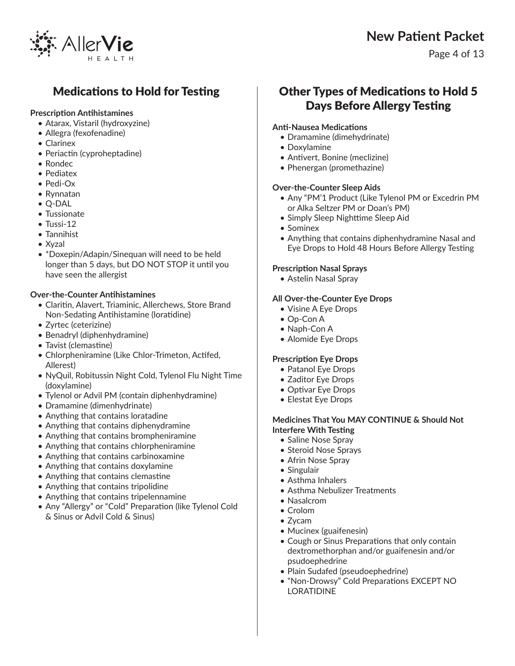

Page 4 of 13

## Medications to Hold for Testing

#### **Prescription Antihistamines**

- Atarax, Vistaril (hydroxyzine)
- Allegra (fexofenadine)
- Clarinex
- Periactin (cyproheptadine)
- Rondec
- Pediatex
- Pedi-Ox
- Rynnatan
- Q-DAL
- Tussionate
- Tussi-12
- Tannihist
- Xyzal
- \*Doxepin/Adapin/Sinequan will need to be held longer than 5 days, but DO NOT STOP it until you have seen the allergist

#### **Over-the-Counter Antihistamines**

- Claritin, Alavert, Triaminic, Allerchews, Store Brand Non-Sedating Antihistamine (loratidine)
- Zyrtec (ceterizine)
- Benadryl (diphenhydramine)
- Tavist (clemastine)
- Chlorpheniramine (Like Chlor-Trimeton, Actifed, Allerest)
- NyQuil, Robitussin Night Cold, Tylenol Flu Night Time (doxylamine)
- Tylenol or Advil PM (contain diphenhydramine)
- Dramamine (dimenhydrinate)
- Anything that contains loratadine
- Anything that contains diphenydramine
- Anything that contains brompheniramine
- Anything that contains chlorpheniramine
- Anything that contains carbinoxamine
- Anything that contains doxylamine
- Anything that contains clemastine
- Anything that contains tripolidine
- Anything that contains tripelennamine
- Any "Allergy" or "Cold" Preparation (like Tylenol Cold & Sinus or Advil Cold & Sinus)

## Other Types of Medications to Hold 5 Days Before Allergy Testing

#### **Anti-Nausea Medications**

- Dramamine (dimehydrinate)
- Doxylamine
- Antivert, Bonine (meclizine)
- Phenergan (promethazine)

#### **Over-the-Counter Sleep Aids**

- Any "PM'1 Product (Like Tylenol PM or Excedrin PM or Alka Seltzer PM or Doan's PM)
- Simply Sleep Nighttime Sleep Aid
- Sominex
- Anything that contains diphenhydramine Nasal and Eye Drops to Hold 48 Hours Before Allergy Testing

#### **Prescription Nasal Sprays**

• Astelin Nasal Spray

#### **All Over-the-Counter Eye Drops**

- Visine A Eye Drops
- Op-Con A
- Naph-Con A
- Alomide Eye Drops

#### **Prescription Eye Drops**

- Patanol Eye Drops
- Zaditor Eye Drops
- Optivar Eye Drops
- Elestat Eye Drops

#### **Medicines That You MAY CONTINUE & Should Not Interfere With Testing**

- Saline Nose Spray
- Steroid Nose Sprays
- Afrin Nose Spray
- Singulair
- Asthma Inhalers
- Asthma Nebulizer Treatments
- Nasalcrom
- Crolom
- Zycam
- Mucinex (guaifenesin)
- Cough or Sinus Preparations that only contain dextromethorphan and/or guaifenesin and/or psudoephedrine
- Plain Sudafed (pseudoephedrine)
- "Non-Drowsy" Cold Preparations EXCEPT NO LORATIDINE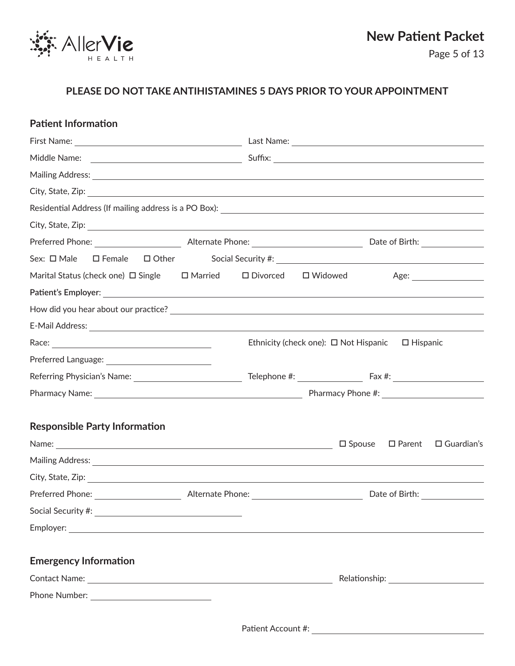

### **PLEASE DO NOT TAKE ANTIHISTAMINES 5 DAYS PRIOR TO YOUR APPOINTMENT**

| <b>Patient Information</b>                                                             |  |                                                            |                                               |
|----------------------------------------------------------------------------------------|--|------------------------------------------------------------|-----------------------------------------------|
|                                                                                        |  |                                                            |                                               |
|                                                                                        |  |                                                            |                                               |
|                                                                                        |  |                                                            |                                               |
|                                                                                        |  |                                                            |                                               |
|                                                                                        |  |                                                            |                                               |
|                                                                                        |  |                                                            |                                               |
|                                                                                        |  |                                                            |                                               |
| Sex: □ Male                                                                            |  |                                                            |                                               |
| Marital Status (check one) $\Box$ Single $\Box$ Married $\Box$ Divorced $\Box$ Widowed |  |                                                            |                                               |
|                                                                                        |  |                                                            |                                               |
|                                                                                        |  |                                                            |                                               |
|                                                                                        |  |                                                            |                                               |
|                                                                                        |  | Ethnicity (check one): $\Box$ Not Hispanic $\Box$ Hispanic |                                               |
|                                                                                        |  |                                                            |                                               |
|                                                                                        |  |                                                            |                                               |
|                                                                                        |  |                                                            |                                               |
| <b>Responsible Party Information</b>                                                   |  |                                                            |                                               |
|                                                                                        |  |                                                            | $\Box$ Spouse $\Box$ Parent $\Box$ Guardian's |
|                                                                                        |  |                                                            |                                               |
|                                                                                        |  |                                                            |                                               |
|                                                                                        |  |                                                            |                                               |
|                                                                                        |  |                                                            |                                               |
|                                                                                        |  |                                                            |                                               |
| <b>Emergency Information</b>                                                           |  |                                                            |                                               |
|                                                                                        |  |                                                            |                                               |
|                                                                                        |  |                                                            |                                               |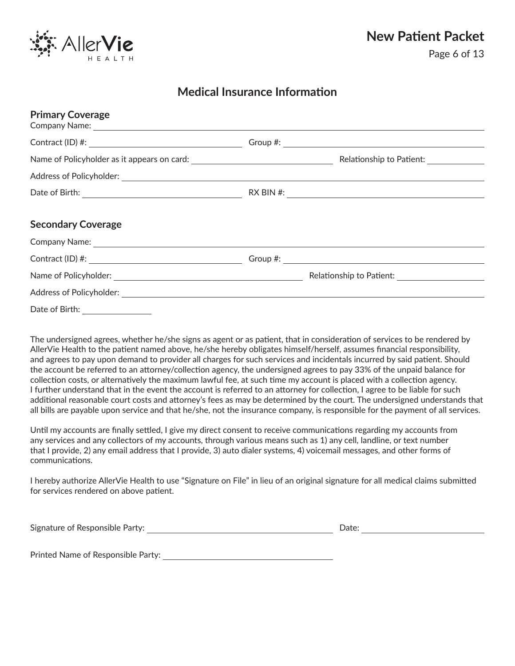

### **Medical Insurance Information**

| <b>Primary Coverage</b>                                                                                                                                                                                                                                                                          |                                                 |
|--------------------------------------------------------------------------------------------------------------------------------------------------------------------------------------------------------------------------------------------------------------------------------------------------|-------------------------------------------------|
| Contract (ID) #: $\frac{1}{2}$ = $\frac{1}{2}$ = $\frac{1}{2}$ = $\frac{1}{2}$ = $\frac{1}{2}$ = $\frac{1}{2}$ = $\frac{1}{2}$ = $\frac{1}{2}$ = $\frac{1}{2}$ = $\frac{1}{2}$ = $\frac{1}{2}$ = $\frac{1}{2}$ = $\frac{1}{2}$ = $\frac{1}{2}$ = $\frac{1}{2}$ = $\frac{1}{2}$ = $\frac{1}{2}$ = |                                                 |
|                                                                                                                                                                                                                                                                                                  | Relationship to Patient:                        |
|                                                                                                                                                                                                                                                                                                  |                                                 |
|                                                                                                                                                                                                                                                                                                  |                                                 |
| <b>Secondary Coverage</b>                                                                                                                                                                                                                                                                        |                                                 |
|                                                                                                                                                                                                                                                                                                  |                                                 |
|                                                                                                                                                                                                                                                                                                  | Group #: $\_\_\_\_\_\_\_\_\_\_\_$               |
|                                                                                                                                                                                                                                                                                                  | Relationship to Patient: ______________________ |
|                                                                                                                                                                                                                                                                                                  |                                                 |
| Date of Birth:                                                                                                                                                                                                                                                                                   |                                                 |

The undersigned agrees, whether he/she signs as agent or as patient, that in consideration of services to be rendered by AllerVie Health to the patient named above, he/she hereby obligates himself/herself, assumes financial responsibility, and agrees to pay upon demand to provider all charges for such services and incidentals incurred by said patient. Should the account be referred to an attorney/collection agency, the undersigned agrees to pay 33% of the unpaid balance for collection costs, or alternatively the maximum lawful fee, at such time my account is placed with a collection agency. I further understand that in the event the account is referred to an attorney for collection, I agree to be liable for such additional reasonable court costs and attorney's fees as may be determined by the court. The undersigned understands that all bills are payable upon service and that he/she, not the insurance company, is responsible for the payment of all services.

Until my accounts are finally settled, I give my direct consent to receive communications regarding my accounts from any services and any collectors of my accounts, through various means such as 1) any cell, landline, or text number that I provide, 2) any email address that I provide, 3) auto dialer systems, 4) voicemail messages, and other forms of communications.

I hereby authorize AllerVie Health to use "Signature on File" in lieu of an original signature for all medical claims submitted for services rendered on above patient.

Signature of Responsible Party:  $Date:$ 

Printed Name of Responsible Party: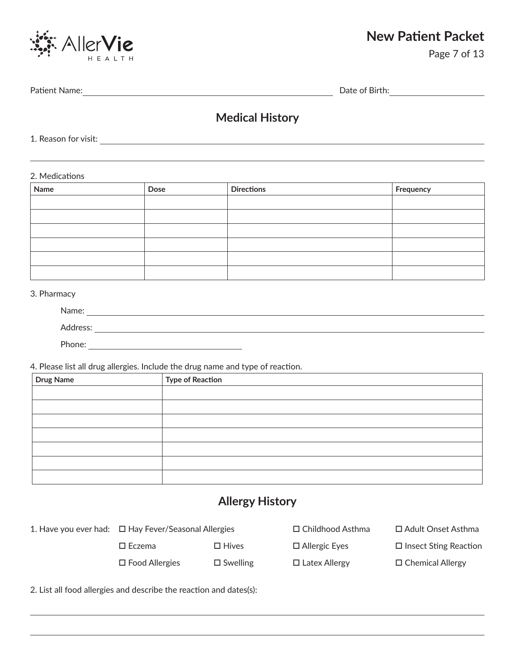

Page 7 of 13

Patient Name: Date of Birth:

## **Medical History**

1. Reason for visit:

2. Medications

| Name | Dose | <b>Directions</b> | Frequency |
|------|------|-------------------|-----------|
|      |      |                   |           |
|      |      |                   |           |
|      |      |                   |           |
|      |      |                   |           |
|      |      |                   |           |
|      |      |                   |           |

#### 3. Pharmacy

| Name:    |  |
|----------|--|
| Address: |  |
| Phone:   |  |

4. Please list all drug allergies. Include the drug name and type of reaction.

| Drug Name | <b>Type of Reaction</b> |
|-----------|-------------------------|
|           |                         |
|           |                         |
|           |                         |
|           |                         |
|           |                         |
|           |                         |
|           |                         |

## **Allergy History**

| 1. Have you ever had: $\Box$ Hay Fever/Seasonal Allergies |                 | $\Box$ Childhood Asthma | □ Adult Onset Asthma         |
|-----------------------------------------------------------|-----------------|-------------------------|------------------------------|
| $\square$ Eczema                                          | $\Box$ Hives    | $\Box$ Allergic Eyes    | $\Box$ Insect Sting Reaction |
| $\square$ Food Allergies                                  | $\Box$ Swelling | $\Box$ Latex Allergy    | $\Box$ Chemical Allergy      |

2. List all food allergies and describe the reaction and dates(s):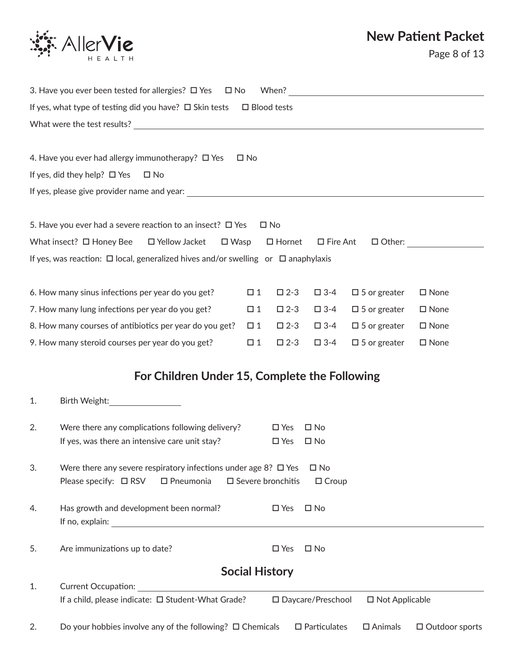

|    | 3. Have you ever been tested for allergies? $\Box$ Yes<br>⊟ No                              |                       | When?                       |                        |                          |                       |
|----|---------------------------------------------------------------------------------------------|-----------------------|-----------------------------|------------------------|--------------------------|-----------------------|
|    | If yes, what type of testing did you have? $\Box$ Skin tests                                | $\square$ Blood tests |                             |                        |                          |                       |
|    | What were the test results?                                                                 |                       |                             |                        |                          |                       |
|    |                                                                                             |                       |                             |                        |                          |                       |
|    | 4. Have you ever had allergy immunotherapy? $\Box$ Yes                                      | $\square$ No          |                             |                        |                          |                       |
|    | If yes, did they help? $\Box$ Yes<br>$\square$ No                                           |                       |                             |                        |                          |                       |
|    |                                                                                             |                       |                             |                        |                          |                       |
|    | 5. Have you ever had a severe reaction to an insect? $\Box$ Yes                             |                       | $\square$ No                |                        |                          |                       |
|    | What insect? $\Box$ Honey Bee<br>□ Yellow Jacket<br>$\square$ Wasp                          |                       | $\Box$ Hornet               | □ Fire Ant             |                          | $\Box$ Other:         |
|    | If yes, was reaction: $\Box$ local, generalized hives and/or swelling or $\Box$ anaphylaxis |                       |                             |                        |                          |                       |
|    |                                                                                             |                       |                             |                        |                          |                       |
|    | 6. How many sinus infections per year do you get?                                           | $\Box$ 1              | $\square$ 2-3               | $\square$ 3-4          | $\square$ 5 or greater   | $\square$ None        |
|    | 7. How many lung infections per year do you get?                                            | $\square$ 1           | $\square$ 2-3               | $\square$ 3-4          | $\Box$ 5 or greater      | $\square$ None        |
|    | 8. How many courses of antibiotics per year do you get?                                     | $\Box$ 1              | $\square$ 2-3               | $\square$ 3-4          | $\square$ 5 or greater   | $\square$ None        |
|    | 9. How many steroid courses per year do you get?                                            | $\square$ 1           | $\square$ 2-3               | $\square$ 3-4          | $\square$ 5 or greater   | $\square$ None        |
|    |                                                                                             |                       |                             |                        |                          |                       |
|    | For Children Under 15, Complete the Following                                               |                       |                             |                        |                          |                       |
| 1. | Birth Weight:                                                                               |                       |                             |                        |                          |                       |
| 2. | Were there any complications following delivery?                                            |                       | $\square$ Yes               | $\square$ No           |                          |                       |
|    | If yes, was there an intensive care unit stay?                                              |                       | $\square$ Yes               | $\square$ No           |                          |                       |
| 3. | Were there any severe respiratory infections under age 8? $\Box$ Yes                        |                       |                             | $\square$ No           |                          |                       |
|    | $\square$ Pneumonia<br>Please specify: $\square$ RSV                                        |                       | $\square$ Severe bronchitis | $\Box$ Croup           |                          |                       |
|    |                                                                                             |                       |                             |                        |                          |                       |
| 4. | Has growth and development been normal?                                                     |                       | $\square$ Yes               | $\square$ No           |                          |                       |
|    |                                                                                             |                       |                             |                        |                          |                       |
| 5. | Are immunizations up to date?                                                               |                       | $\square$ Yes               | $\square$ No           |                          |                       |
|    |                                                                                             | <b>Social History</b> |                             |                        |                          |                       |
| 1. | <b>Current Occupation:</b>                                                                  |                       |                             |                        |                          |                       |
|    | If a child, please indicate: □ Student-What Grade?                                          |                       |                             | □ Daycare/Preschool    | $\square$ Not Applicable |                       |
| 2. | Do your hobbies involve any of the following? $\Box$ Chemicals                              |                       |                             | $\square$ Particulates | $\square$ Animals        | $\Box$ Outdoor sports |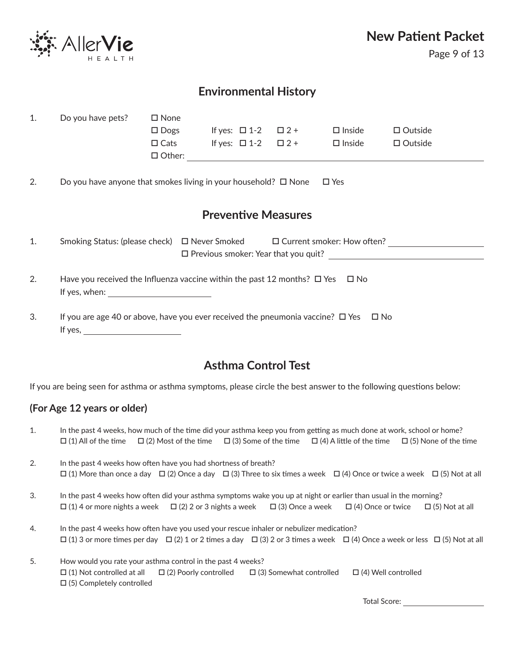

Page 9 of 13

## **Environmental History**

| 1. | Do you have pets?                                                                                    | $\square$ None                                      |                               |                               |                                                    |                                      |
|----|------------------------------------------------------------------------------------------------------|-----------------------------------------------------|-------------------------------|-------------------------------|----------------------------------------------------|--------------------------------------|
|    |                                                                                                      | $\Box$ Dogs                                         |                               | If yes: $\Box$ 1-2 $\Box$ 2 + | $\square$ Inside                                   | $\Box$ Outside                       |
|    |                                                                                                      | $\Box$ Cats                                         | If yes: $\Box$ 1-2 $\Box$ 2 + |                               | $\Box$ Inside                                      | $\Box$ Outside                       |
|    |                                                                                                      | $\Box$ Other:                                       |                               |                               | <u> 1989 - John Stein, Amerikaansk politiker (</u> |                                      |
| 2. | Do you have anyone that smokes living in your household? $\square$ None                              |                                                     |                               |                               | $\Box$ Yes                                         |                                      |
|    |                                                                                                      |                                                     |                               | <b>Preventive Measures</b>    |                                                    |                                      |
| 1. | Smoking Status: (please check) □ Never Smoked                                                        |                                                     |                               |                               |                                                    | $\square$ Current smoker: How often? |
|    |                                                                                                      |                                                     |                               |                               |                                                    |                                      |
| 2. | Have you received the Influenza vaccine within the past 12 months? $\Box$ Yes $\Box$ No              |                                                     |                               |                               |                                                    |                                      |
|    | If yes, when:                                                                                        | <u> 1990 - Johann Barbara, martin a</u>             |                               |                               |                                                    |                                      |
| 3. | If you are age 40 or above, have you ever received the pneumonia vaccine? $\square$ Yes $\square$ No |                                                     |                               |                               |                                                    |                                      |
|    | If yes,                                                                                              | <u> 1990 - Johann Barbara, martxa eta politikar</u> |                               |                               |                                                    |                                      |
|    |                                                                                                      |                                                     |                               |                               |                                                    |                                      |

## **Asthma Control Test**

If you are being seen for asthma or asthma symptoms, please circle the best answer to the following questions below:

### **(For Age 12 years or older)**

| 1. | In the past 4 weeks, how much of the time did your asthma keep you from getting as much done at work, school or home?                                |  |  |  |  |  |  |
|----|------------------------------------------------------------------------------------------------------------------------------------------------------|--|--|--|--|--|--|
|    | $\Box$ (1) All of the time $\Box$ (2) Most of the time $\Box$ (3) Some of the time $\Box$ (4) A little of the time $\Box$ (5) None of the time       |  |  |  |  |  |  |
| 2. | In the past 4 weeks how often have you had shortness of breath?                                                                                      |  |  |  |  |  |  |
|    | $\Box$ (1) More than once a day $\Box$ (2) Once a day $\Box$ (3) Three to six times a week $\Box$ (4) Once or twice a week $\Box$ (5) Not at all     |  |  |  |  |  |  |
| 3. | In the past 4 weeks how often did your asthma symptoms wake you up at night or earlier than usual in the morning?                                    |  |  |  |  |  |  |
|    | $\Box$ (1) 4 or more nights a week $\Box$ (2) 2 or 3 nights a week $\Box$ (3) Once a week $\Box$ (4) Once or twice<br>$\Box$ (5) Not at all          |  |  |  |  |  |  |
| 4. | In the past 4 weeks how often have you used your rescue inhaler or nebulizer medication?                                                             |  |  |  |  |  |  |
|    | $\Box$ (1) 3 or more times per day $\Box$ (2) 1 or 2 times a day $\Box$ (3) 2 or 3 times a week $\Box$ (4) Once a week or less $\Box$ (5) Not at all |  |  |  |  |  |  |
| 5. | How would you rate your asthma control in the past 4 weeks?                                                                                          |  |  |  |  |  |  |
|    | $\Box$ (1) Not controlled at all $\Box$ (2) Poorly controlled<br>$\Box$ (3) Somewhat controlled<br>$\Box$ (4) Well controlled                        |  |  |  |  |  |  |
|    | $\Box$ (5) Completely controlled                                                                                                                     |  |  |  |  |  |  |

Total Score: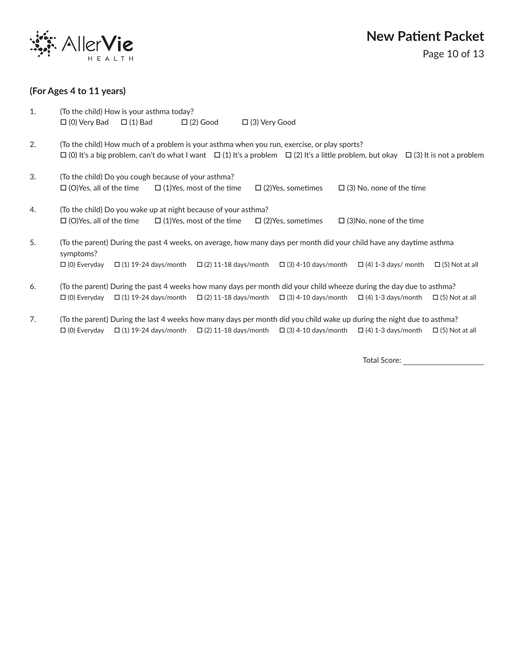

#### **(For Ages 4 to 11 years)**

| 1. | (To the child) How is your asthma today?                                                                                                                                                                                                               |
|----|--------------------------------------------------------------------------------------------------------------------------------------------------------------------------------------------------------------------------------------------------------|
|    | $\Box$ (0) Very Bad $\Box$ (1) Bad<br>$\Box$ (2) Good<br>$\Box$ (3) Very Good                                                                                                                                                                          |
| 2. | (To the child) How much of a problem is your asthma when you run, exercise, or play sports?<br>$\Box$ (0) It's a big problem, can't do what I want $\Box$ (1) It's a problem $\Box$ (2) It's a little problem, but okay $\Box$ (3) It is not a problem |
| 3. | (To the child) Do you cough because of your asthma?<br>$\square$ (O)Yes, all of the time<br>$\square$ (1)Yes, most of the time<br>$\Box$ (2) Yes, sometimes<br>$\Box$ (3) No, none of the time                                                         |
| 4. | (To the child) Do you wake up at night because of your asthma?                                                                                                                                                                                         |
|    | $\square$ (O)Yes, all of the time<br>$\Box$ (1) Yes, most of the time $\Box$ (2) Yes, sometimes<br>$\Box$ (3) No, none of the time                                                                                                                     |
| 5. | (To the parent) During the past 4 weeks, on average, how many days per month did your child have any daytime asthma<br>symptoms?                                                                                                                       |
|    | $\Box$ (1) 19-24 days/month $\Box$ (2) 11-18 days/month $\Box$ (3) 4-10 days/month<br>$\Box$ (0) Everyday<br>$\Box$ (4) 1-3 days/ month<br>$\Box$ (5) Not at all                                                                                       |
| 6. | (To the parent) During the past 4 weeks how many days per month did your child wheeze during the day due to asthma?                                                                                                                                    |
|    | $\Box$ (1) 19-24 days/month $\Box$ (2) 11-18 days/month $\Box$ (3) 4-10 days/month $\Box$ (4) 1-3 days/month<br>$\Box$ (0) Everyday<br>$\Box$ (5) Not at all                                                                                           |

7. (To the parent) During the last 4 weeks how many days per month did you child wake up during the night due to asthma?  $\Box$  (0) Everyday  $\Box$  (1) 19-24 days/month  $\Box$  (2) 11-18 days/month  $\Box$  (3) 4-10 days/month  $\Box$  (4) 1-3 days/month  $\Box$  (5) Not at all

Total Score: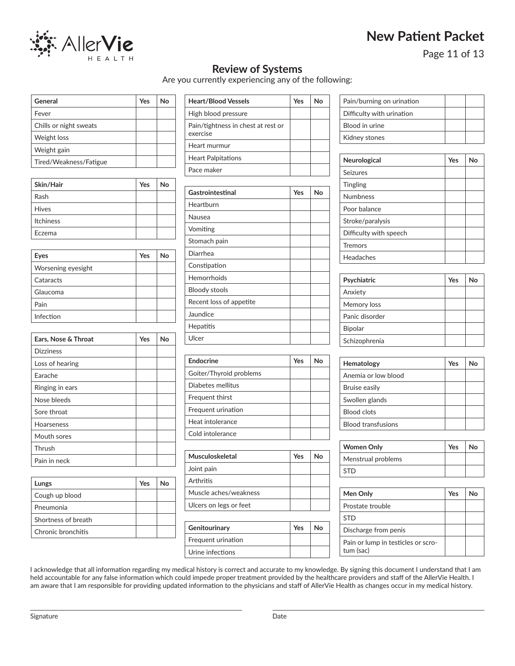

Page 11 of 13

### **Review of Systems**

Are you currently experiencing any of the following:

| General                | Yes | Nο |
|------------------------|-----|----|
| Fever                  |     |    |
| Chills or night sweats |     |    |
| Weight loss            |     |    |
| Weight gain            |     |    |
| Tired/Weakness/Fatigue |     |    |

| Skin/Hair    | Yes | No |
|--------------|-----|----|
| Rash         |     |    |
| <b>Hives</b> |     |    |
| Itchiness    |     |    |
| Eczema       |     |    |

| Eyes               | Yes | N٥ |
|--------------------|-----|----|
| Worsening eyesight |     |    |
| Cataracts          |     |    |
| Glaucoma           |     |    |
| Pain               |     |    |
| Infection          |     |    |

| Ears, Nose & Throat | Yes | No |
|---------------------|-----|----|
| <b>Dizziness</b>    |     |    |
| Loss of hearing     |     |    |
| Earache             |     |    |
| Ringing in ears     |     |    |
| Nose bleeds         |     |    |
| Sore throat         |     |    |
| Hoarseness          |     |    |
| Mouth sores         |     |    |
| Thrush              |     |    |
| Pain in neck        |     |    |

| Lungs               | <b>Yes</b> | N٥ |
|---------------------|------------|----|
| Cough up blood      |            |    |
| Pneumonia           |            |    |
| Shortness of breath |            |    |
| Chronic bronchitis  |            |    |

| <b>Heart/Blood Vessels</b>                     | Yes | N٥ |
|------------------------------------------------|-----|----|
| High blood pressure                            |     |    |
| Pain/tightness in chest at rest or<br>exercise |     |    |
| Heart murmur                                   |     |    |
| <b>Heart Palpitations</b>                      |     |    |
| Pace maker                                     |     |    |

| Gastrointestinal        | Yes | No |
|-------------------------|-----|----|
| Heartburn               |     |    |
| Nausea                  |     |    |
| Vomiting                |     |    |
| Stomach pain            |     |    |
| Diarrhea                |     |    |
| Constipation            |     |    |
| Hemorrhoids             |     |    |
| <b>Bloody stools</b>    |     |    |
| Recent loss of appetite |     |    |
| Jaundice                |     |    |
| Hepatitis               |     |    |
| Ulcer                   |     |    |

| Endocrine               | Yes | No |
|-------------------------|-----|----|
| Goiter/Thyroid problems |     |    |
| Diabetes mellitus       |     |    |
| Frequent thirst         |     |    |
| Frequent urination      |     |    |
| Heat intolerance        |     |    |
| Cold intolerance        |     |    |

| Yes | N٥ |
|-----|----|
|     |    |
|     |    |
|     |    |
|     |    |
|     |    |

| Genitourinary      | Yes | Nο |
|--------------------|-----|----|
| Frequent urination |     |    |
| Urine infections   |     |    |

| Pain/burning on urination |  |
|---------------------------|--|
| Difficulty with urination |  |
| Blood in urine            |  |
| Kidney stones             |  |

| Neurological           | Yes | No |
|------------------------|-----|----|
| Seizures               |     |    |
| <b>Tingling</b>        |     |    |
| <b>Numbness</b>        |     |    |
| Poor balance           |     |    |
| Stroke/paralysis       |     |    |
| Difficulty with speech |     |    |
| <b>Tremors</b>         |     |    |
| Headaches              |     |    |

| Psychiatric    | Yes | No |
|----------------|-----|----|
| Anxiety        |     |    |
| Memory loss    |     |    |
| Panic disorder |     |    |
| <b>Bipolar</b> |     |    |
| Schizophrenia  |     |    |

| Hematology                | Yes | N٥ |
|---------------------------|-----|----|
| Anemia or low blood       |     |    |
| Bruise easily             |     |    |
| Swollen glands            |     |    |
| <b>Blood clots</b>        |     |    |
| <b>Blood transfusions</b> |     |    |

| <b>Women Only</b>  | Yes | No |
|--------------------|-----|----|
| Menstrual problems |     |    |
| <b>STD</b>         |     |    |

| Men Only                                        | Yes | Nο |
|-------------------------------------------------|-----|----|
| Prostate trouble                                |     |    |
| <b>STD</b>                                      |     |    |
| Discharge from penis                            |     |    |
| Pain or lump in testicles or scro-<br>tum (sac) |     |    |

I acknowledge that all information regarding my medical history is correct and accurate to my knowledge. By signing this document I understand that I am held accountable for any false information which could impede proper treatment provided by the healthcare providers and staff of the AllerVie Health. I am aware that I am responsible for providing updated information to the physicians and staff of AllerVie Health as changes occur in my medical history.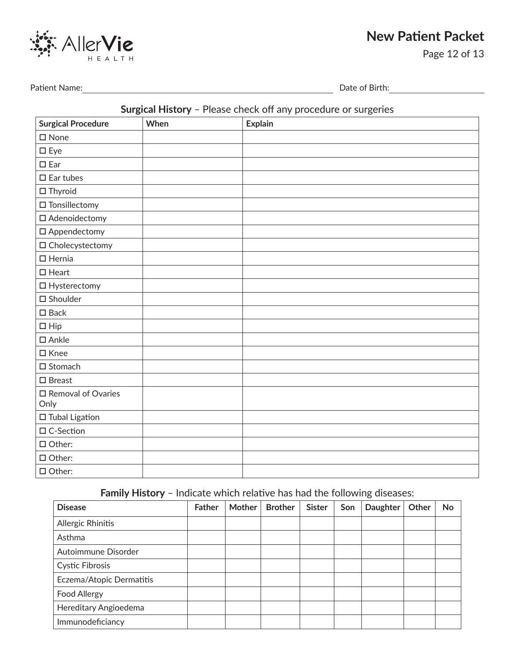

Page 12 of 13

Patient Name: Date of Birth:

### **Surgical History** – Please check off any procedure or surgeries

| <b>Surgical Procedure</b>     | When | <b>Explain</b> |
|-------------------------------|------|----------------|
| $\square$ None                |      |                |
| $\square$ Eye                 |      |                |
| $\square$ Ear                 |      |                |
| $\square$ Ear tubes           |      |                |
| $\square$ Thyroid             |      |                |
| $\hfill\Box$<br>Tonsillectomy |      |                |
| □ Adenoidectomy               |      |                |
| □ Appendectomy                |      |                |
| $\square$ Cholecystectomy     |      |                |
| $\Box$ Hernia                 |      |                |
| $\square$ Heart               |      |                |
| $\Box$ Hysterectomy           |      |                |
| $\square$ Shoulder            |      |                |
| $\square$ Back                |      |                |
| $\Box$ Hip                    |      |                |
| $\square$ Ankle               |      |                |
| $\square$ Knee                |      |                |
| $\square$ Stomach             |      |                |
| $\square$ Breast              |      |                |
| □ Removal of Ovaries<br>Only  |      |                |
| $\square$ Tubal Ligation      |      |                |
| □ C-Section                   |      |                |
| $\Box$ Other:                 |      |                |
| $\Box$ Other:                 |      |                |
| $\square$ Other:              |      |                |

**Family History** – Indicate which relative has had the following diseases:

| <b>Disease</b>           | <b>Father</b> | <b>Mother</b> | <b>Brother</b> | <b>Sister</b> | Son | <b>Daughter</b> | Other | No |
|--------------------------|---------------|---------------|----------------|---------------|-----|-----------------|-------|----|
| Allergic Rhinitis        |               |               |                |               |     |                 |       |    |
| Asthma                   |               |               |                |               |     |                 |       |    |
| Autoimmune Disorder      |               |               |                |               |     |                 |       |    |
| <b>Cystic Fibrosis</b>   |               |               |                |               |     |                 |       |    |
| Eczema/Atopic Dermatitis |               |               |                |               |     |                 |       |    |
| <b>Food Allergy</b>      |               |               |                |               |     |                 |       |    |
| Hereditary Angioedema    |               |               |                |               |     |                 |       |    |
| Immunodeficiancy         |               |               |                |               |     |                 |       |    |